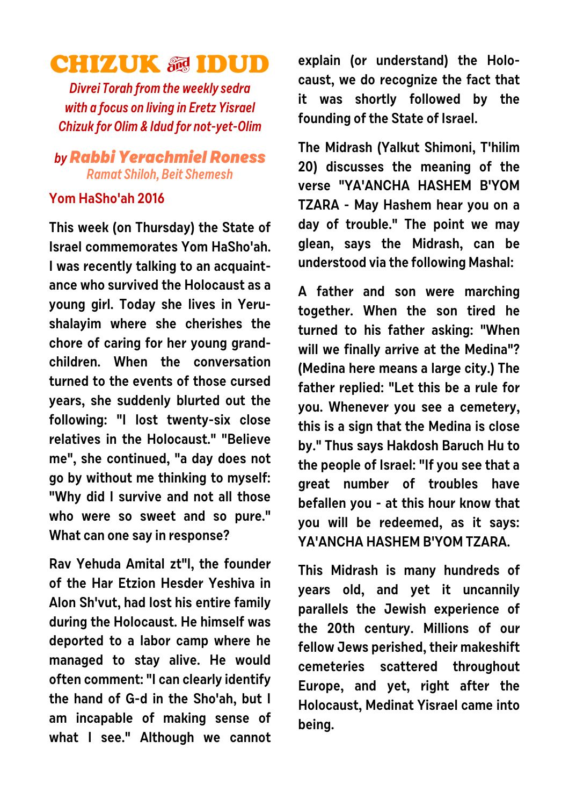## **CHIZUK & IDUD**

**Divrei Torah from the weekly sedra with a focus on living in Eretz Yisrael Chizuk for Olim & Idud for not-yet-Olim**

## **byRabbi Yerachmiel Roness Ramat Shiloh, Beit Shemesh**

## **Yom HaSho'ah 2016**

**This week (on Thursday) the State of Israel commemorates Yom HaSho'ah. I was recently talking to an acquaintance who survived the Holocaust as a young girl. Today she lives in Yerushalayim where she cherishes the chore of caring for her young grandchildren. When the conversation turned to the events of those cursed years, she suddenly blurted out the following: "I lost twenty-six close relatives in the Holocaust." "Believe me", she continued, "a day does not go by without me thinking to myself: "Why did I survive and not all those who were so sweet and so pure." What can one say in response?** 

**Rav Yehuda Amital zt"l, the founder of the Har Etzion Hesder Yeshiva in Alon Sh'vut, had lost his entire family during the Holocaust. He himself was deported to a labor camp where he managed to stay alive. He would often comment: "I can clearly identify the hand of G-d in the Sho'ah, but I am incapable of making sense of what I see." Although we cannot** **explain (or understand) the Holocaust, we do recognize the fact that it was shortly followed by the founding of the State of Israel.**

**The Midrash (Yalkut Shimoni, T'hilim 20) discusses the meaning of the verse "YA'ANCHA HASHEM B'YOM TZARA - May Hashem hear you on a day of trouble." The point we may glean, says the Midrash, can be understood via the following Mashal:**

**A father and son were marching together. When the son tired he turned to his father asking: "When will we finally arrive at the Medina"? (Medina here means a large city.) The father replied: "Let this be a rule for you. Whenever you see a cemetery, this is a sign that the Medina is close by." Thus says Hakdosh Baruch Hu to the people of Israel: "If you see that a great number of troubles have befallen you - at this hour know that you will be redeemed, as it says: YA'ANCHA HASHEM B'YOM TZARA.** 

**This Midrash is many hundreds of years old, and yet it uncannily parallels the Jewish experience of the 20th century. Millions of our fellow Jews perished, their makeshift cemeteries scattered throughout Europe, and yet, right after the Holocaust, Medinat Yisrael came into being.**